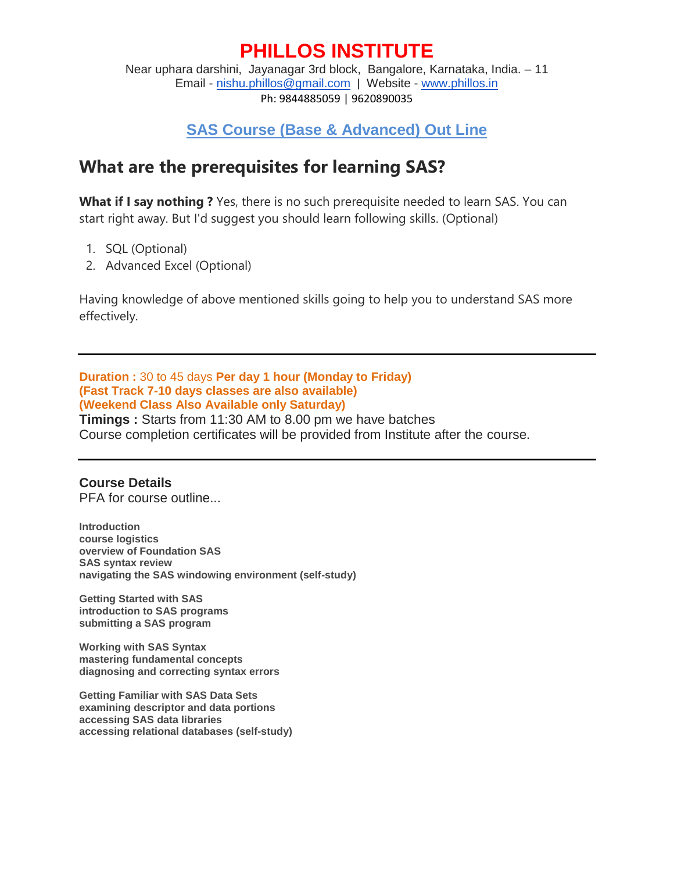# **PHILLOS INSTITUTE**

Near uphara darshini, Jayanagar 3rd block, Bangalore, Karnataka, India. – 11 Email - nishu.phillos@gmail.com | Website - www.phillos.in Ph: 9844885059 | 9620890035

### **SAS Course (Base & Advanced) Out Line**

### **What are the prerequisites for learning SAS?**

**What if I say nothing ?** Yes, there is no such prerequisite needed to learn SAS. You can start right away. But I'd suggest you should learn following skills. (Optional)

- 1. SQL (Optional)
- 2. Advanced Excel (Optional)

Having knowledge of above mentioned skills going to help you to understand SAS more effectively.

**Duration :** 30 to 45 days **Per day 1 hour (Monday to Friday) (Fast Track 7-10 days classes are also available) (Weekend Class Also Available only Saturday)**

**Timings :** Starts from 11:30 AM to 8.00 pm we have batches Course completion certificates will be provided from Institute after the course.

#### **Course Details**

PFA for course outline...

**Introduction course logistics overview of Foundation SAS SAS syntax review navigating the SAS windowing environment (self-study)**

**Getting Started with SAS introduction to SAS programs submitting a SAS program**

**Working with SAS Syntax mastering fundamental concepts diagnosing and correcting syntax errors**

**Getting Familiar with SAS Data Sets examining descriptor and data portions accessing SAS data libraries accessing relational databases (self-study)**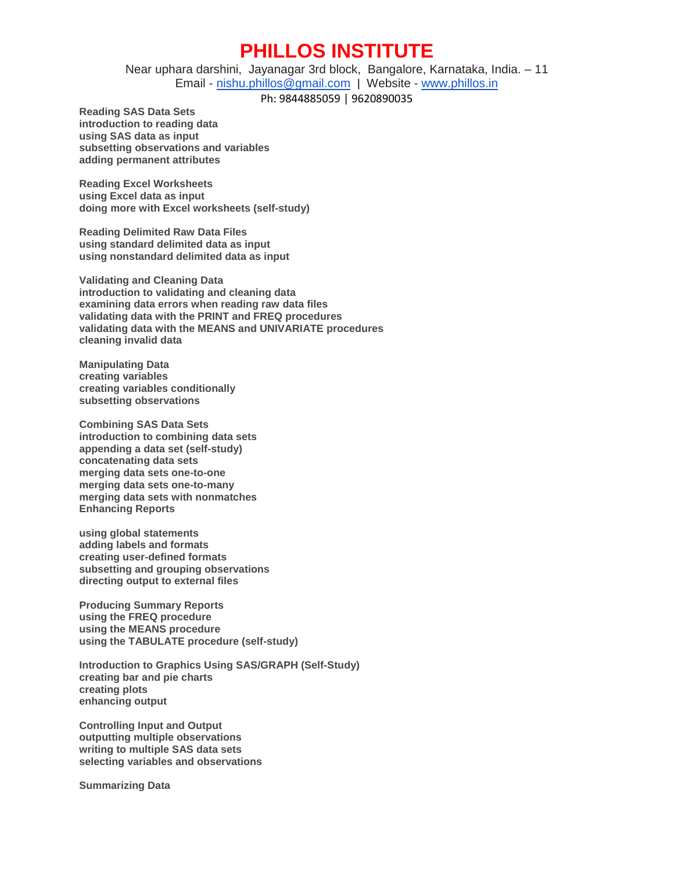## **PHILLOS INSTITUTE**

Near uphara darshini, Jayanagar 3rd block, Bangalore, Karnataka, India. – 11 Email - nishu.phillos@gmail.com | Website - www.phillos.in

Ph: 9844885059 | 9620890035

**Reading SAS Data Sets introduction to reading data using SAS data as input subsetting observations and variables adding permanent attributes**

**Reading Excel Worksheets using Excel data as input doing more with Excel worksheets (self-study)**

**Reading Delimited Raw Data Files using standard delimited data as input using nonstandard delimited data as input**

**Validating and Cleaning Data introduction to validating and cleaning data examining data errors when reading raw data files validating data with the PRINT and FREQ procedures validating data with the MEANS and UNIVARIATE procedures cleaning invalid data**

**Manipulating Data creating variables creating variables conditionally subsetting observations**

**Combining SAS Data Sets introduction to combining data sets appending a data set (self-study) concatenating data sets merging data sets one-to-one merging data sets one-to-many merging data sets with nonmatches Enhancing Reports**

**using global statements adding labels and formats creating user-defined formats subsetting and grouping observations directing output to external files**

**Producing Summary Reports using the FREQ procedure using the MEANS procedure using the TABULATE procedure (self-study)**

**Introduction to Graphics Using SAS/GRAPH (Self-Study) creating bar and pie charts creating plots enhancing output**

**Controlling Input and Output outputting multiple observations writing to multiple SAS data sets selecting variables and observations**

**Summarizing Data**